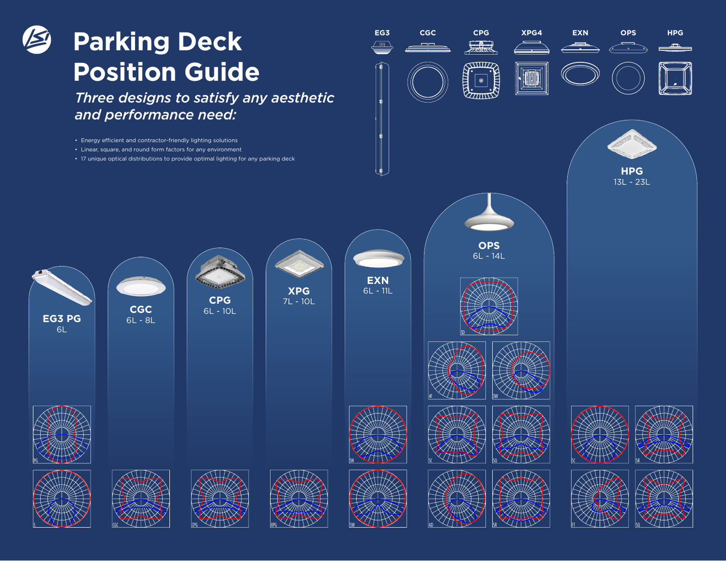